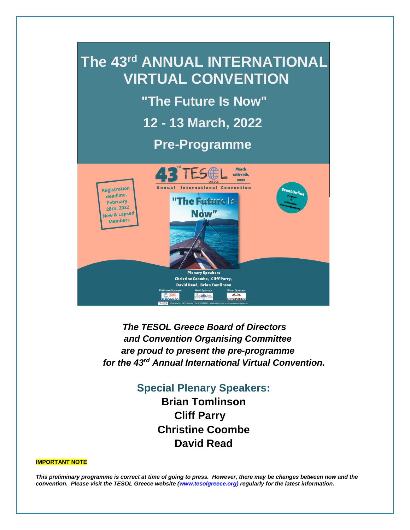

*The TESOL Greece Board of Directors and Convention Organising Committee are proud to present the pre-programme for the 43rd Annual International Virtual Convention.* 

# **Special Plenary Speakers:**

**Brian Tomlinson Cliff Parry Christine Coombe David Read**

#### **IMPORTANT NOTE**

*This preliminary programme is correct at time of going to press. However, there may be changes between now and the convention. Please visit the TESOL Greece website (www.tesolgreece.org) regularly for the latest information.*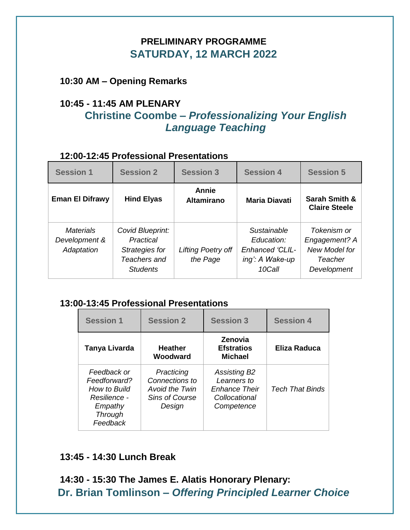# **PRELIMINARY PROGRAMME SATURDAY, 12 MARCH 2022**

**10:30 AM – Opening Remarks** 

# **10:45 - 11:45 AM PLENARY Christine Coombe –** *Professionalizing Your English Language Teaching*

#### **12:00-12:45 Professional Presentations**

| <b>Session 1</b>                                | <b>Session 2</b>                                                                   | <b>Session 3</b>               | <b>Session 4</b>                                                          | <b>Session 5</b>                                                        |
|-------------------------------------------------|------------------------------------------------------------------------------------|--------------------------------|---------------------------------------------------------------------------|-------------------------------------------------------------------------|
| <b>Eman El Difrawy</b>                          | <b>Hind Elyas</b>                                                                  | Annie<br><b>Altamirano</b>     | <b>Maria Diavati</b>                                                      | <b>Sarah Smith &amp;</b><br><b>Claire Steele</b>                        |
| <b>Materials</b><br>Development &<br>Adaptation | Covid Blueprint:<br>Practical<br>Strategies for<br>Teachers and<br><b>Students</b> | Lifting Poetry off<br>the Page | Sustainable<br>Education:<br>Enhanced 'CLIL-<br>ing': A Wake-up<br>10Call | Tokenism or<br>Engagement? A<br>New Model for<br>Teacher<br>Development |

#### **13:00-13:45 Professional Presentations**

| <b>Session 1</b>                                                                                     | <b>Session 2</b>                                                                         | <b>Session 3</b>                                                                          | <b>Session 4</b>       |
|------------------------------------------------------------------------------------------------------|------------------------------------------------------------------------------------------|-------------------------------------------------------------------------------------------|------------------------|
| Tanya Livarda                                                                                        | <b>Heather</b><br>Woodward                                                               | <b>Zenovia</b><br><b>Efstratios</b><br><b>Michael</b>                                     | <b>Eliza Raduca</b>    |
| Feedback or<br>Feedforward?<br>How to Build<br>Resilience -<br>Empathy<br><b>Through</b><br>Feedback | Practicing<br>Connections to<br><b>Avoid the Twin</b><br><b>Sins of Course</b><br>Design | <b>Assisting B2</b><br>Learners to<br><b>Enhance Their</b><br>Collocational<br>Competence | <b>Tech That Binds</b> |

#### **13:45 - 14:30 Lunch Break**

**14:30 - 15:30 The James E. Alatis Honorary Plenary: Dr. Brian Tomlinson –** *Offering Principled Learner Choice*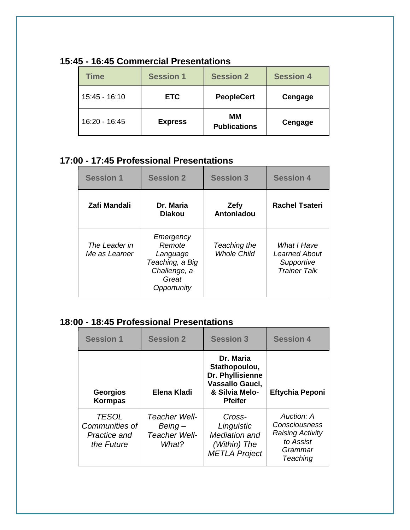| <b>Time</b>   | <b>Session 1</b> | <b>Session 2</b>          | <b>Session 4</b> |
|---------------|------------------|---------------------------|------------------|
| 15:45 - 16:10 | <b>ETC</b>       | <b>PeopleCert</b>         | Cengage          |
| 16:20 - 16:45 | <b>Express</b>   | ΜМ<br><b>Publications</b> | Cengage          |

### **15:45 - 16:45 Commercial Presentations**

# **17:00 - 17:45 Professional Presentations**

| <b>Session 1</b>               | <b>Session 2</b>                                                                           | <b>Session 3</b>                   | <b>Session 4</b>                                                         |
|--------------------------------|--------------------------------------------------------------------------------------------|------------------------------------|--------------------------------------------------------------------------|
| Zafi Mandali                   | Dr. Maria<br><b>Diakou</b>                                                                 | Zefy<br>Antoniadou                 | <b>Rachel Tsateri</b>                                                    |
| The Leader in<br>Me as Learner | Emergency<br>Remote<br>Language<br>Teaching, a Big<br>Challenge, a<br>Great<br>Opportunity | Teaching the<br><b>Whole Child</b> | What I Have<br><b>Learned About</b><br>Supportive<br><b>Trainer Talk</b> |

# **18:00 - 18:45 Professional Presentations**

| <b>Session 1</b>                                             | <b>Session 2</b>                                   | <b>Session 3</b>                                                                                      | <b>Session 4</b>                                                                           |
|--------------------------------------------------------------|----------------------------------------------------|-------------------------------------------------------------------------------------------------------|--------------------------------------------------------------------------------------------|
| <b>Georgios</b><br><b>Kormpas</b>                            | Elena Kladi                                        | Dr. Maria<br>Stathopoulou,<br>Dr. Phyllisienne<br>Vassallo Gauci,<br>& Silvia Melo-<br><b>Pfeifer</b> | <b>Eftychia Peponi</b>                                                                     |
| <b>TESOL</b><br>Communities of<br>Practice and<br>the Future | Teacher Well-<br>Being –<br>Teacher Well-<br>What? | Cross-<br>Linguistic<br>Mediation and<br>(Within) The<br><b>METLA Project</b>                         | Auction: A<br>Consciousness<br><b>Raising Activity</b><br>to Assist<br>Grammar<br>Teaching |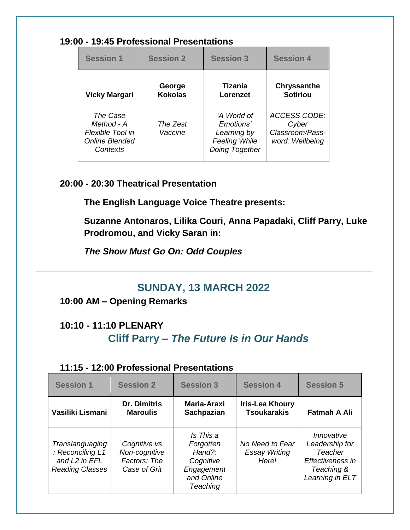#### **19:00 - 19:45 Professional Presentations**

| <b>Session 1</b>                                                                | <b>Session 2</b>         | <b>Session 3</b>                                                                  | <b>Session 4</b>                                                   |
|---------------------------------------------------------------------------------|--------------------------|-----------------------------------------------------------------------------------|--------------------------------------------------------------------|
| <b>Vicky Margari</b>                                                            | George<br><b>Kokolas</b> | Tizania<br>Lorenzet                                                               | <b>Chryssanthe</b><br><b>Sotiriou</b>                              |
| The Case<br>Method - A<br>Flexible Tool in<br><b>Online Blended</b><br>Contexts | The Zest<br>Vaccine      | 'A World of<br>Emotions'<br>Learning by<br><b>Feeling While</b><br>Doing Together | <b>ACCESS CODE:</b><br>Cyber<br>Classroom/Pass-<br>word: Wellbeing |

#### **20:00 - 20:30 Theatrical Presentation**

**The English Language Voice Theatre presents:**

**Suzanne Antonaros, Lilika Couri, Anna Papadaki, Cliff Parry, Luke Prodromou, and Vicky Saran in:**

*The Show Must Go On: Odd Couples*

# **SUNDAY, 13 MARCH 2022**

### **10:00 AM – Opening Remarks**

# **10:10 - 11:10 PLENARY Cliff Parry –** *The Future Is in Our Hands*

#### **11:15 - 12:00 Professional Presentations**

| <b>Session 1</b>                                                                           | <b>Session 2</b>                                              | <b>Session 3</b>                                                                                | <b>Session 4</b>                                 | <b>Session 5</b>                                                                             |
|--------------------------------------------------------------------------------------------|---------------------------------------------------------------|-------------------------------------------------------------------------------------------------|--------------------------------------------------|----------------------------------------------------------------------------------------------|
| Vasiliki Lismani                                                                           | <b>Dr. Dimitris</b><br><b>Maroulis</b>                        | Maria-Araxi<br>Sachpazian                                                                       | <b>Iris-Lea Khoury</b><br><b>Tsoukarakis</b>     | <b>Fatmah A Ali</b>                                                                          |
| Translanguaging<br>: Reconciling L1<br>and L <sub>2</sub> in EFL<br><b>Reading Classes</b> | Cognitive vs<br>Non-cognitive<br>Factors: The<br>Case of Grit | Is This a<br>Forgotten<br>$Hand?$ :<br>Cognitive<br>Engagement<br>and Online<br><b>Teaching</b> | No Need to Fear<br><b>Essay Writing</b><br>Here! | Innovative<br>Leadership for<br>Teacher<br>Effectiveness in<br>Teaching &<br>Learning in ELT |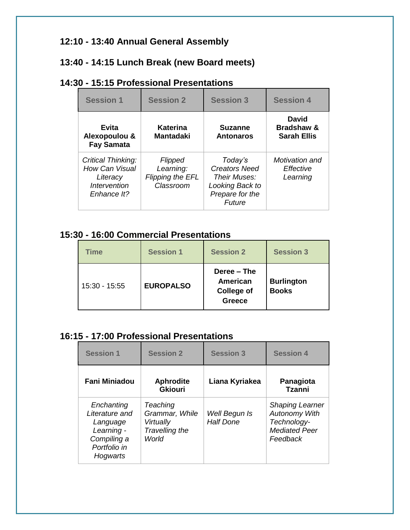### **12:10 - 13:40 Annual General Assembly**

### **13:40 - 14:15 Lunch Break (new Board meets)**

# **14:30 - 15:15 Professional Presentations**

| <b>Session 1</b>                                                                | <b>Session 2</b>                                                    | <b>Session 3</b>                                                                                | <b>Session 4</b>                                     |
|---------------------------------------------------------------------------------|---------------------------------------------------------------------|-------------------------------------------------------------------------------------------------|------------------------------------------------------|
| <b>Evita</b><br>Alexopoulou &<br><b>Fay Samata</b>                              | Katerina<br><b>Mantadaki</b>                                        | <b>Suzanne</b><br><b>Antonaros</b>                                                              | David<br><b>Bradshaw &amp;</b><br><b>Sarah Ellis</b> |
| Critical Thinking:<br>How Can Visual<br>Literacy<br>Intervention<br>Enhance It? | <b>Flipped</b><br>Learning:<br><b>Flipping the EFL</b><br>Classroom | Today's<br><b>Creators Need</b><br>Their Muses:<br>Looking Back to<br>Prepare for the<br>Future | Motivation and<br>Effective<br>Learning              |

### **15:30 - 16:00 Commercial Presentations**

| <b>Time</b>   | <b>Session 1</b> | <b>Session 2</b>                                              | <b>Session 3</b>                  |
|---------------|------------------|---------------------------------------------------------------|-----------------------------------|
| 15:30 - 15:55 | <b>EUROPALSO</b> | Deree – The<br>American<br><b>College of</b><br><b>Greece</b> | <b>Burlington</b><br><b>Books</b> |

#### **16:15 - 17:00 Professional Presentations**

| <b>Session 1</b>                                                                                  | <b>Session 2</b>                                                   | <b>Session 3</b>                  | <b>Session 4</b>                                                                                  |
|---------------------------------------------------------------------------------------------------|--------------------------------------------------------------------|-----------------------------------|---------------------------------------------------------------------------------------------------|
| Fani Miniadou                                                                                     | <b>Aphrodite</b><br><b>Gkiouri</b>                                 | Liana Kyriakea                    | Panagiota<br><b>Tzanni</b>                                                                        |
| Enchanting<br>Literature and<br>Language<br>Learning -<br>Compiling a<br>Portfolio in<br>Hogwarts | Teaching<br>Grammar, While<br>Virtually<br>Travelling the<br>World | Well Begun Is<br><b>Half Done</b> | <b>Shaping Learner</b><br><b>Autonomy With</b><br>Technology-<br><b>Mediated Peer</b><br>Feedback |